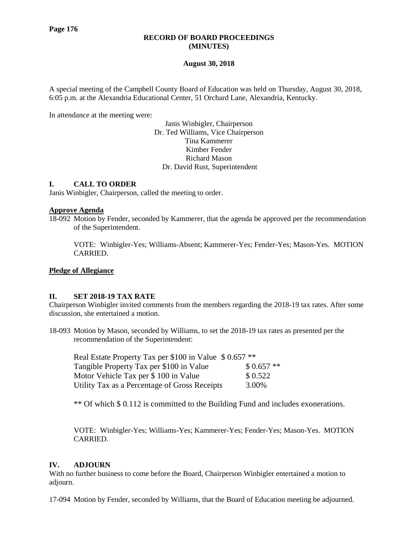## **RECORD OF BOARD PROCEEDINGS (MINUTES)**

## **August 30, 2018**

A special meeting of the Campbell County Board of Education was held on Thursday, August 30, 2018, 6:05 p.m. at the Alexandria Educational Center, 51 Orchard Lane, Alexandria, Kentucky.

In attendance at the meeting were:

Janis Winbigler, Chairperson Dr. Ted Williams, Vice Chairperson Tina Kammerer Kimber Fender Richard Mason Dr. David Rust, Superintendent

# **I. CALL TO ORDER**

Janis Winbigler, Chairperson, called the meeting to order.

### **Approve Agenda**

18-092 Motion by Fender, seconded by Kammerer, that the agenda be approved per the recommendation of the Superintendent.

VOTE: Winbigler-Yes; Williams-Absent; Kammerer-Yes; Fender-Yes; Mason-Yes. MOTION CARRIED.

## **Pledge of Allegiance**

### **II. SET 2018-19 TAX RATE**

Chairperson Winbigler invited comments from the members regarding the 2018-19 tax rates. After some discussion, she entertained a motion.

18-093 Motion by Mason, seconded by Williams, to set the 2018-19 tax rates as presented per the recommendation of the Superintendent:

| Real Estate Property Tax per \$100 in Value \$ 0.657 ** |            |
|---------------------------------------------------------|------------|
| Tangible Property Tax per \$100 in Value                | $$0.657**$ |
| Motor Vehicle Tax per \$100 in Value                    | \$0.522    |
| Utility Tax as a Percentage of Gross Receipts           | 3.00%      |

\*\* Of which \$ 0.112 is committed to the Building Fund and includes exonerations.

VOTE: Winbigler-Yes; Williams-Yes; Kammerer-Yes; Fender-Yes; Mason-Yes. MOTION CARRIED.

### **IV. ADJOURN**

With no further business to come before the Board, Chairperson Winbigler entertained a motion to adjourn.

17-094 Motion by Fender, seconded by Williams, that the Board of Education meeting be adjourned.